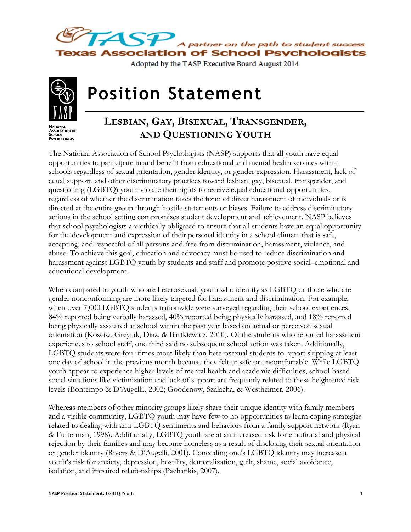

Adopted by the TASP Executive Board August 2014



# **Position Statement**

# **LESBIAN, GAY, BISEXUAL, TRANSGENDER, AND QUESTIONING YOUTH**

The National Association of School Psychologists (NASP) supports that all youth have equal opportunities to participate in and benefit from educational and mental health services within schools regardless of sexual orientation, gender identity, or gender expression. Harassment, lack of equal support, and other discriminatory practices toward lesbian, gay, bisexual, transgender, and questioning (LGBTQ) youth violate their rights to receive equal educational opportunities, regardless of whether the discrimination takes the form of direct harassment of individuals or is directed at the entire group through hostile statements or biases. Failure to address discriminatory actions in the school setting compromises student development and achievement. NASP believes that school psychologists are ethically obligated to ensure that all students have an equal opportunity for the development and expression of their personal identity in a school climate that is safe, accepting, and respectful of all persons and free from discrimination, harassment, violence, and abuse. To achieve this goal, education and advocacy must be used to reduce discrimination and harassment against LGBTQ youth by students and staff and promote positive social–emotional and educational development.

When compared to youth who are heterosexual, youth who identify as LGBTQ or those who are gender nonconforming are more likely targeted for harassment and discrimination. For example, when over 7,000 LGBTQ students nationwide were surveyed regarding their school experiences, 84% reported being verbally harassed, 40% reported being physically harassed, and 18% reported being physically assaulted at school within the past year based on actual or perceived sexual orientation (Kosciw, Greytak, Diaz, & Bartkiewicz, 2010). Of the students who reported harassment experiences to school staff, one third said no subsequent school action was taken. Additionally, LGBTQ students were four times more likely than heterosexual students to report skipping at least one day of school in the previous month because they felt unsafe or uncomfortable. While LGBTQ youth appear to experience higher levels of mental health and academic difficulties, school-based social situations like victimization and lack of support are frequently related to these heightened risk levels (Bontempo & D'Augelli., 2002; Goodenow, Szalacha, & Westheimer, 2006).

Whereas members of other minority groups likely share their unique identity with family members and a visible community, LGBTQ youth may have few to no opportunities to learn coping strategies related to dealing with anti-LGBTQ sentiments and behaviors from a family support network (Ryan & Futterman, 1998). Additionally, LGBTQ youth are at an increased risk for emotional and physical rejection by their families and may become homeless as a result of disclosing their sexual orientation or gender identity (Rivers & D'Augelli, 2001). Concealing one's LGBTQ identity may increase a youth's risk for anxiety, depression, hostility, demoralization, guilt, shame, social avoidance, isolation, and impaired relationships (Pachankis, 2007).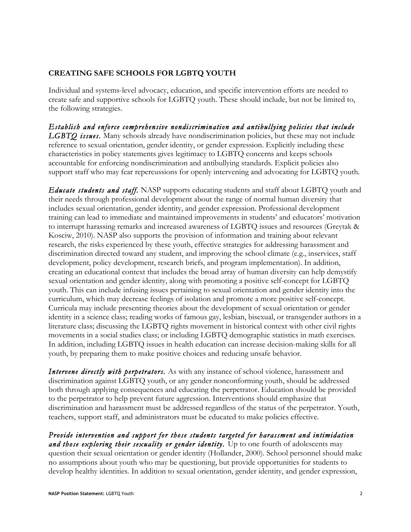## **CREATING SAFE SCHOOLS FOR LGBTQ YOUTH**

Individual and systems-level advocacy, education, and specific intervention efforts are needed to create safe and supportive schools for LGBTQ youth. These should include, but not be limited to, the following strategies.

*Establish and enforce comprehensive nondiscrimination and antibullying policies that include LGBTQ issues.* Many schools already have nondiscrimination policies, but these may not include reference to sexual orientation, gender identity, or gender expression. Explicitly including these characteristics in policy statements gives legitimacy to LGBTQ concerns and keeps schools accountable for enforcing nondiscrimination and antibullying standards. Explicit policies also support staff who may fear repercussions for openly intervening and advocating for LGBTQ youth.

*Educate students and staff.* NASP supports educating students and staff about LGBTQ youth and their needs through professional development about the range of normal human diversity that includes sexual orientation, gender identity, and gender expression. Professional development training can lead to immediate and maintained improvements in students' and educators' motivation to interrupt harassing remarks and increased awareness of LGBTQ issues and resources (Greytak & Kosciw, 2010). NASP also supports the provision of information and training about relevant research, the risks experienced by these youth, effective strategies for addressing harassment and discrimination directed toward any student, and improving the school climate (e.g., inservices, staff development, policy development, research briefs, and program implementation). In addition, creating an educational context that includes the broad array of human diversity can help demystify sexual orientation and gender identity, along with promoting a positive self-concept for LGBTQ youth. This can include infusing issues pertaining to sexual orientation and gender identity into the curriculum, which may decrease feelings of isolation and promote a more positive self-concept. Curricula may include presenting theories about the development of sexual orientation or gender identity in a science class; reading works of famous gay, lesbian, bisexual, or transgender authors in a literature class; discussing the LGBTQ rights movement in historical context with other civil rights movements in a social studies class; or including LGBTQ demographic statistics in math exercises. In addition, including LGBTQ issues in health education can increase decision-making skills for all youth, by preparing them to make positive choices and reducing unsafe behavior.

*Intervene directly with perpetrators.* As with any instance of school violence, harassment and discrimination against LGBTQ youth, or any gender nonconforming youth, should be addressed both through applying consequences and educating the perpetrator. Education should be provided to the perpetrator to help prevent future aggression. Interventions should emphasize that discrimination and harassment must be addressed regardless of the status of the perpetrator. Youth, teachers, support staff, and administrators must be educated to make policies effective.

*Provide intervention and support for those students targeted for harassment and intimidation*  and *those exploring their sexuality or gender identity*. Up to one fourth of adolescents may question their sexual orientation or gender identity (Hollander, 2000). School personnel should make no assumptions about youth who may be questioning, but provide opportunities for students to develop healthy identities. In addition to sexual orientation, gender identity, and gender expression,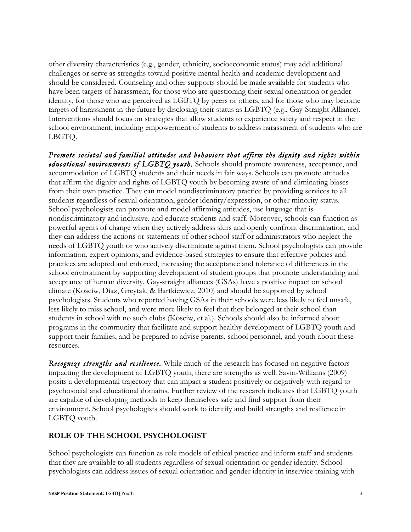other diversity characteristics (e.g., gender, ethnicity, socioeconomic status) may add additional challenges or serve as strengths toward positive mental health and academic development and should be considered. Counseling and other supports should be made available for students who have been targets of harassment, for those who are questioning their sexual orientation or gender identity, for those who are perceived as LGBTQ by peers or others, and for those who may become targets of harassment in the future by disclosing their status as LGBTQ (e.g., Gay-Straight Alliance). Interventions should focus on strategies that allow students to experience safety and respect in the school environment, including empowerment of students to address harassment of students who are LBGTQ.

*Promote societal and familial attitudes and behaviors that affirm the dignity and rights within educational environments of LGBTQ youth.* Schools should promote awareness, acceptance, and accommodation of LGBTQ students and their needs in fair ways. Schools can promote attitudes that affirm the dignity and rights of LGBTQ youth by becoming aware of and eliminating biases from their own practice. They can model nondiscriminatory practice by providing services to all students regardless of sexual orientation, gender identity/expression, or other minority status. School psychologists can promote and model affirming attitudes, use language that is nondiscriminatory and inclusive, and educate students and staff. Moreover, schools can function as powerful agents of change when they actively address slurs and openly confront discrimination, and they can address the actions or statements of other school staff or administrators who neglect the needs of LGBTQ youth or who actively discriminate against them. School psychologists can provide information, expert opinions, and evidence-based strategies to ensure that effective policies and practices are adopted and enforced, increasing the acceptance and tolerance of differences in the school environment by supporting development of student groups that promote understanding and acceptance of human diversity. Gay-straight alliances (GSAs) have a positive impact on school climate (Kosciw, Diaz, Greytak, & Bartkiewicz, 2010) and should be supported by school psychologists. Students who reported having GSAs in their schools were less likely to feel unsafe, less likely to miss school, and were more likely to feel that they belonged at their school than students in school with no such clubs (Kosciw, et al.). Schools should also be informed about programs in the community that facilitate and support healthy development of LGBTQ youth and support their families, and be prepared to advise parents, school personnel, and youth about these resources.

*Recognize strengths and resilience.* While much of the research has focused on negative factors impacting the development of LGBTQ youth, there are strengths as well. Savin-Williams (2009) posits a developmental trajectory that can impact a student positively or negatively with regard to psychosocial and educational domains. Further review of the research indicates that LGBTQ youth are capable of developing methods to keep themselves safe and find support from their environment. School psychologists should work to identify and build strengths and resilience in LGBTQ youth.

## **ROLE OF THE SCHOOL PSYCHOLOGIST**

School psychologists can function as role models of ethical practice and inform staff and students that they are available to all students regardless of sexual orientation or gender identity. School psychologists can address issues of sexual orientation and gender identity in inservice training with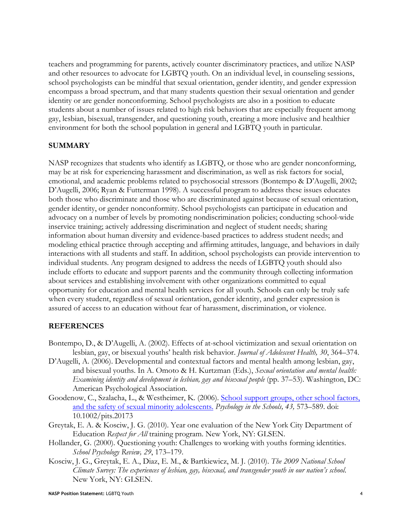teachers and programming for parents, actively counter discriminatory practices, and utilize NASP and other resources to advocate for LGBTQ youth. On an individual level, in counseling sessions, school psychologists can be mindful that sexual orientation, gender identity, and gender expression encompass a broad spectrum, and that many students question their sexual orientation and gender identity or are gender nonconforming. School psychologists are also in a position to educate students about a number of issues related to high risk behaviors that are especially frequent among gay, lesbian, bisexual, transgender, and questioning youth, creating a more inclusive and healthier environment for both the school population in general and LGBTQ youth in particular.

#### **SUMMARY**

NASP recognizes that students who identify as LGBTQ, or those who are gender nonconforming, may be at risk for experiencing harassment and discrimination, as well as risk factors for social, emotional, and academic problems related to psychosocial stressors (Bontempo & D'Augelli, 2002; D'Augelli, 2006; Ryan & Futterman 1998). A successful program to address these issues educates both those who discriminate and those who are discriminated against because of sexual orientation, gender identity, or gender nonconformity. School psychologists can participate in education and advocacy on a number of levels by promoting nondiscrimination policies; conducting school-wide inservice training; actively addressing discrimination and neglect of student needs; sharing information about human diversity and evidence-based practices to address student needs; and modeling ethical practice through accepting and affirming attitudes, language, and behaviors in daily interactions with all students and staff. In addition, school psychologists can provide intervention to individual students. Any program designed to address the needs of LGBTQ youth should also include efforts to educate and support parents and the community through collecting information about services and establishing involvement with other organizations committed to equal opportunity for education and mental health services for all youth. Schools can only be truly safe when every student, regardless of sexual orientation, gender identity, and gender expression is assured of access to an education without fear of harassment, discrimination, or violence.

#### **REFERENCES**

- Bontempo, D., & D'Augelli, A. (2002). Effects of at-school victimization and sexual orientation on lesbian, gay, or bisexual youths' health risk behavior. *Journal of Adolescent Health, 30*, 364–374.
- D'Augelli, A. (2006). Developmental and contextual factors and mental health among lesbian, gay, and bisexual youths. In A. Omoto & H. Kurtzman (Eds.), *Sexual orientation and mental health: Examining identity and development in lesbian, gay and bisexual people* (pp. 37–53). Washington, DC: American Psychological Association.
- Goodenow, C., Szalacha, L., & Westheimer, K. (2006). School support groups, other school factors, and the safety of sexual minority adolescents. *Psychology in the Schools, 43,* 573–589. doi: 10.1002/pits.20173
- Greytak, E. A. & Kosciw, J. G. (2010). Year one evaluation of the New York City Department of Education *Respect for All* training program. New York, NY: GLSEN.
- Hollander, G. (2000). Questioning youth: Challenges to working with youths forming identities. *School Psychology Review, 29*, 173–179.
- Kosciw, J. G., Greytak, E. A., Diaz, E. M., & Bartkiewicz, M. J. (2010). *The 2009 National School Climate Survey: The experiences of lesbian, gay, bisexual, and transgender youth in our nation's school*. New York, NY: GLSEN.